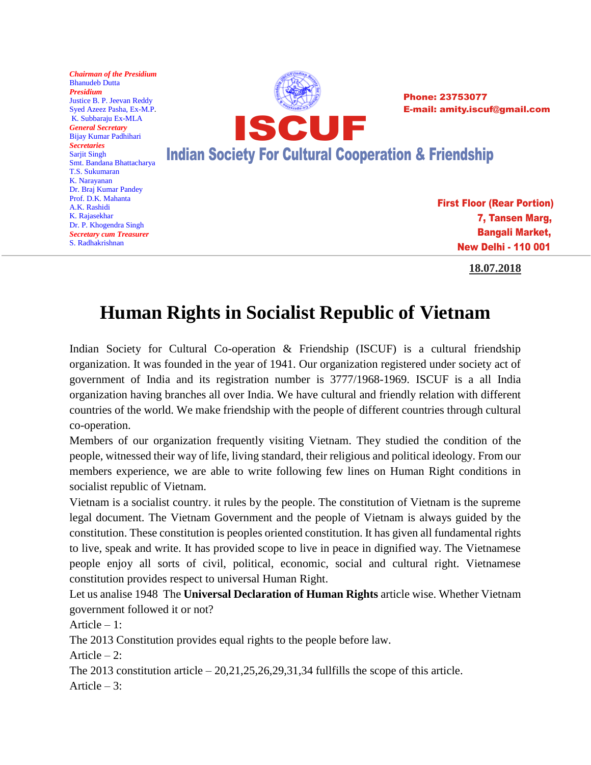

**18.07.2018**

## **Human Rights in Socialist Republic of Vietnam**

Indian Society for Cultural Co-operation & Friendship (ISCUF) is a cultural friendship organization. It was founded in the year of 1941. Our organization registered under society act of government of India and its registration number is 3777/1968-1969. ISCUF is a all India organization having branches all over India. We have cultural and friendly relation with different countries of the world. We make friendship with the people of different countries through cultural co-operation.

Members of our organization frequently visiting Vietnam. They studied the condition of the people, witnessed their way of life, living standard, their religious and political ideology. From our members experience, we are able to write following few lines on Human Right conditions in socialist republic of Vietnam.

Vietnam is a socialist country. it rules by the people. The constitution of Vietnam is the supreme legal document. The Vietnam Government and the people of Vietnam is always guided by the constitution. These constitution is peoples oriented constitution. It has given all fundamental rights to live, speak and write. It has provided scope to live in peace in dignified way. The Vietnamese people enjoy all sorts of civil, political, economic, social and cultural right. Vietnamese constitution provides respect to universal Human Right.

Let us analise 1948 The **Universal Declaration of Human Rights** article wise. Whether Vietnam government followed it or not?

Article – 1:

The 2013 Constitution provides equal rights to the people before law.

Article  $-2$ :

The 2013 constitution article  $-20,21,25,26,29,31,34$  fullfills the scope of this article. Article – 3: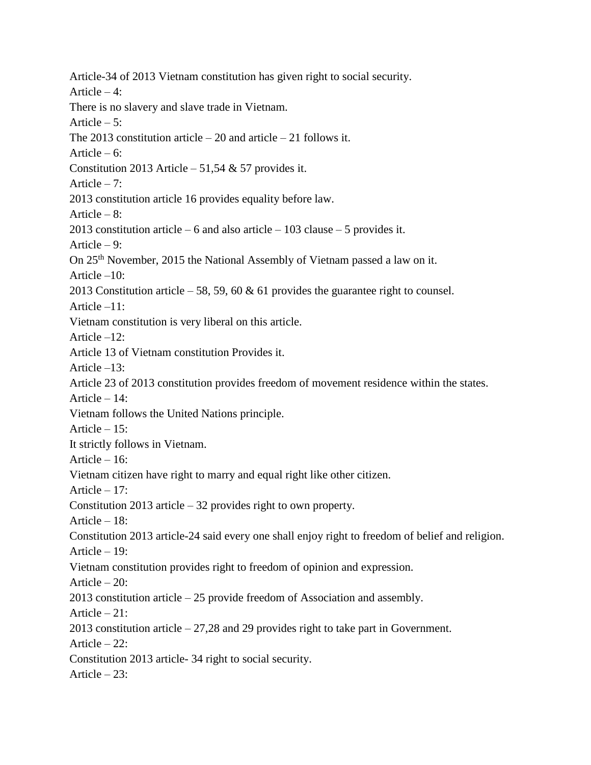Article-34 of 2013 Vietnam constitution has given right to social security. Article  $-4$ : There is no slavery and slave trade in Vietnam. Article  $-5$ : The 2013 constitution article – 20 and article – 21 follows it. Article –  $6$ : Constitution 2013 Article – 51,54  $&$  57 provides it. Article  $-7$ : 2013 constitution article 16 provides equality before law. Article – 8: 2013 constitution article – 6 and also article – 103 clause – 5 provides it. Article – 9: On 25th November, 2015 the National Assembly of Vietnam passed a law on it. Article –10: 2013 Constitution article – 58, 59, 60 & 61 provides the guarantee right to counsel. Article –11: Vietnam constitution is very liberal on this article. Article  $-12$ : Article 13 of Vietnam constitution Provides it. Article –13: Article 23 of 2013 constitution provides freedom of movement residence within the states. Article – 14: Vietnam follows the United Nations principle. Article  $-15$ : It strictly follows in Vietnam. Article – 16: Vietnam citizen have right to marry and equal right like other citizen. Article – 17: Constitution 2013 article – 32 provides right to own property. Article – 18: Constitution 2013 article-24 said every one shall enjoy right to freedom of belief and religion. Article – 19: Vietnam constitution provides right to freedom of opinion and expression. Article – 20: 2013 constitution article – 25 provide freedom of Association and assembly. Article – 21: 2013 constitution article – 27,28 and 29 provides right to take part in Government. Article – 22: Constitution 2013 article- 34 right to social security. Article  $-23$ :